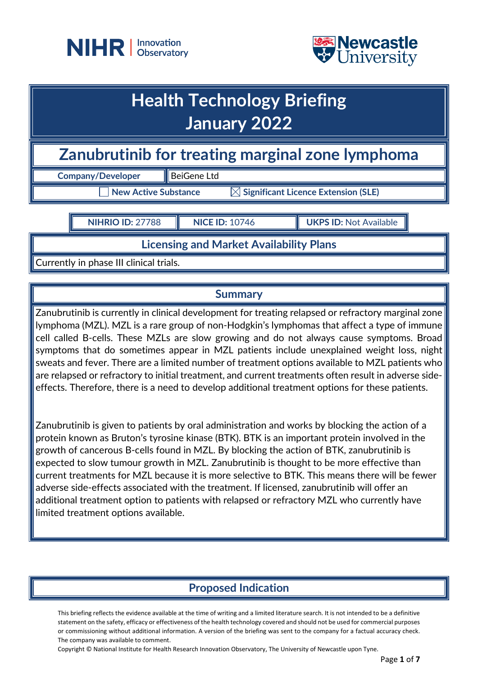



## **Health Technology Briefing January 2022**

**Zanubrutinib for treating marginal zone lymphoma**

**Company/Developer** BeiGene Ltd

 $\exists$  New Active Substance  $\qquad \qquad \boxtimes$  Significant Licence Extension (SLE)

**NIHRIO ID:** 27788 **NICE ID:** 10746 **UKPS ID:** Not Available

**Licensing and Market Availability Plans**

Currently in phase III clinical trials.

## **Summary**

Zanubrutinib is currently in clinical development for treating relapsed or refractory marginal zone lymphoma (MZL). MZL is a rare group of non-Hodgkin's lymphomas that affect a type of immune cell called B-cells. These MZLs are slow growing and do not always cause symptoms. Broad symptoms that do sometimes appear in MZL patients include unexplained weight loss, night sweats and fever. There are a limited number of treatment options available to MZL patients who are relapsed or refractory to initial treatment, and current treatments often result in adverse sideeffects. Therefore, there is a need to develop additional treatment options for these patients.

Zanubrutinib is given to patients by oral administration and works by blocking the action of a protein known as Bruton's tyrosine kinase (BTK). BTK is an important protein involved in the growth of cancerous B-cells found in MZL. By blocking the action of BTK, zanubrutinib is expected to slow tumour growth in MZL. Zanubrutinib is thought to be more effective than current treatments for MZL because it is more selective to BTK. This means there will be fewer adverse side-effects associated with the treatment. If licensed, zanubrutinib will offer an additional treatment option to patients with relapsed or refractory MZL who currently have limited treatment options available.

## **Proposed Indication**

This briefing reflects the evidence available at the time of writing and a limited literature search. It is not intended to be a definitive statement on the safety, efficacy or effectiveness of the health technology covered and should not be used for commercial purposes or commissioning without additional information. A version of the briefing was sent to the company for a factual accuracy check. The company was available to comment.

Copyright © National Institute for Health Research Innovation Observatory, The University of Newcastle upon Tyne.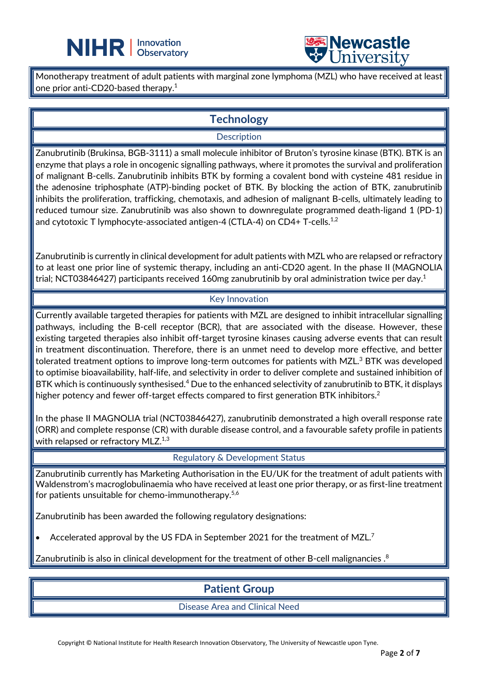



Monotherapy treatment of adult patients with marginal zone lymphoma (MZL) who have received at least one prior anti-CD20-based therapy. $^{\rm 1}$ 

L

## **Technology**

#### **Description**

Zanubrutinib (Brukinsa, BGB-3111) a small molecule inhibitor of Bruton's tyrosine kinase (BTK). BTK is an enzyme that plays a role in oncogenic signalling pathways, where it promotes the survival and proliferation of malignant B-cells. Zanubrutinib inhibits BTK by forming a covalent bond with cysteine 481 residue in the adenosine triphosphate (ATP)-binding pocket of BTK. By blocking the action of BTK, zanubrutinib inhibits the proliferation, trafficking, chemotaxis, and adhesion of malignant B-cells, ultimately leading to reduced tumour size. Zanubrutinib was also shown to downregulate programmed death-ligand 1 (PD-1) and cytotoxic T lymphocyte-associated antigen-4 (CTLA-4) on CD4+ T-cells.<sup>1,2</sup>

Zanubrutinib is currently in clinical development for adult patients with MZL who are relapsed or refractory to at least one prior line of systemic therapy, including an anti-CD20 agent. In the phase II (MAGNOLIA trial; NCT03846427) participants received 160mg zanubrutinib by oral administration twice per day.<sup>1</sup>

#### Key Innovation

Currently available targeted therapies for patients with MZL are designed to inhibit intracellular signalling pathways, including the B-cell receptor (BCR), that are associated with the disease. However, these existing targeted therapies also inhibit off-target tyrosine kinases causing adverse events that can result in treatment discontinuation. Therefore, there is an unmet need to develop more effective, and better tolerated treatment options to improve long-term outcomes for patients with MZL.<sup>3</sup> BTK was developed to optimise bioavailability, half-life, and selectivity in order to deliver complete and sustained inhibition of BTK which is continuously synthesised.<sup>4</sup> Due to the enhanced selectivity of zanubrutinib to BTK, it displays higher potency and fewer off-target effects compared to first generation BTK inhibitors.<sup>2</sup>

In the phase II MAGNOLIA trial (NCT03846427), zanubrutinib demonstrated a high overall response rate (ORR) and complete response (CR) with durable disease control, and a favourable safety profile in patients with relapsed or refractory MLZ.<sup>1,3</sup>

#### Regulatory & Development Status

Zanubrutinib currently has Marketing Authorisation in the EU/UK for the treatment of adult patients with Waldenstrom's macroglobulinaemia who have received at least one prior therapy, or as first-line treatment for patients unsuitable for chemo-immunotherapy.<sup>5,6</sup>

Zanubrutinib has been awarded the following regulatory designations:

• Accelerated approval by the US FDA in September 2021 for the treatment of MZL.7

Zanubrutinib is also in clinical development for the treatment of other B-cell malignancies . $^{\rm 8}$ 

## **Patient Group**

Disease Area and Clinical Need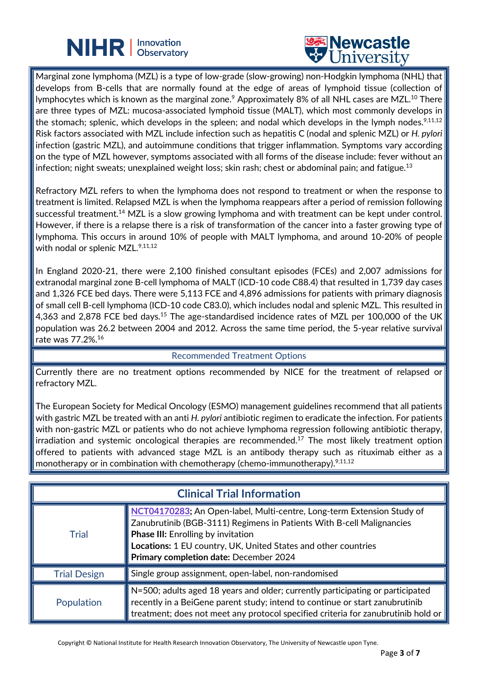# **NIHR** | Innovation



Marginal zone lymphoma (MZL) is a type of low-grade (slow-growing) non-Hodgkin lymphoma (NHL) that develops from B-cells that are normally found at the edge of areas of lymphoid tissue (collection of lymphocytes which is known as the marginal zone. $^9$  Approximately 8% of all NHL cases are MZL. $^{10}$  There are three types of MZL: mucosa-associated lymphoid tissue (MALT), which most commonly develops in the stomach; splenic, which develops in the spleen; and nodal which develops in the lymph nodes. $9,11,12$ Risk factors associated with MZL include infection such as hepatitis C (nodal and splenic MZL) or *H. pylori* infection (gastric MZL), and autoimmune conditions that trigger inflammation. Symptoms vary according on the type of MZL however, symptoms associated with all forms of the disease include: fever without an infection; night sweats; unexplained weight loss; skin rash; chest or abdominal pain; and fatigue.<sup>13</sup>

L

Refractory MZL refers to when the lymphoma does not respond to treatment or when the response to treatment is limited. Relapsed MZL is when the lymphoma reappears after a period of remission following successful treatment.<sup>14</sup> MZL is a slow growing lymphoma and with treatment can be kept under control. However, if there is a relapse there is a risk of transformation of the cancer into a faster growing type of lymphoma. This occurs in around 10% of people with MALT lymphoma, and around 10-20% of people with nodal or splenic MZL.<sup>9,11,12</sup>

In England 2020-21, there were 2,100 finished consultant episodes (FCEs) and 2,007 admissions for extranodal marginal zone B-cell lymphoma of MALT (ICD-10 code C88.4) that resulted in 1,739 day cases and 1,326 FCE bed days. There were 5,113 FCE and 4,896 admissions for patients with primary diagnosis of small cell B-cell lymphoma (ICD-10 code C83.0), which includes nodal and splenic MZL. This resulted in 4,363 and 2,878 FCE bed days.<sup>15</sup> The age-standardised incidence rates of MZL per 100,000 of the UK population was 26.2 between 2004 and 2012. Across the same time period, the 5-year relative survival rate was 77.2%.16

#### Recommended Treatment Options

Currently there are no treatment options recommended by NICE for the treatment of relapsed or refractory MZL.

The European Society for Medical Oncology (ESMO) management guidelines recommend that all patients with gastric MZL be treated with an anti *H. pylori* antibiotic regimen to eradicate the infection. For patients with non-gastric MZL or patients who do not achieve lymphoma regression following antibiotic therapy, irradiation and systemic oncological therapies are recommended.<sup>17</sup> The most likely treatment option offered to patients with advanced stage MZL is an antibody therapy such as rituximab either as a monotherapy or in combination with chemotherapy (chemo-immunotherapy).<sup>9,11,12</sup>

| <b>Clinical Trial Information</b> |                                                                                                                                                                                                                                                                                                          |  |
|-----------------------------------|----------------------------------------------------------------------------------------------------------------------------------------------------------------------------------------------------------------------------------------------------------------------------------------------------------|--|
| <b>Trial</b>                      | NCT04170283; An Open-label, Multi-centre, Long-term Extension Study of<br>Zanubrutinib (BGB-3111) Regimens in Patients With B-cell Malignancies<br><b>Phase III:</b> Enrolling by invitation<br>Locations: 1 EU country, UK, United States and other countries<br>Primary completion date: December 2024 |  |
| <b>Trial Design</b>               | Single group assignment, open-label, non-randomised                                                                                                                                                                                                                                                      |  |
| Population                        | $\parallel$ N=500; adults aged 18 years and older; currently participating or participated<br>$ $ recently in a BeiGene parent study; intend to continue or start zanubrutinib<br>treatment; does not meet any protocol specified criteria for zanubrutinib hold or                                      |  |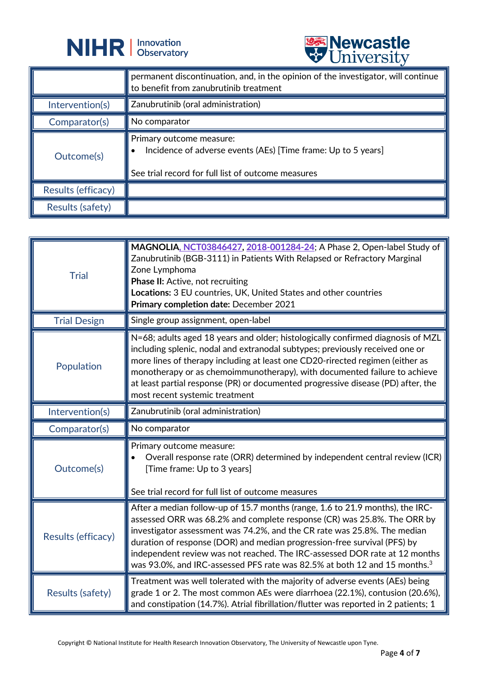



|                    | <b>A</b> CITTACTOTA                                                                                                                                          |
|--------------------|--------------------------------------------------------------------------------------------------------------------------------------------------------------|
|                    | permanent discontinuation, and, in the opinion of the investigator, will continue<br>to benefit from zanubrutinib treatment                                  |
| Intervention(s)    | Zanubrutinib (oral administration)                                                                                                                           |
| Comparator(s)      | No comparator                                                                                                                                                |
| Outcome(s)         | Primary outcome measure:<br>Incidence of adverse events (AEs) [Time frame: Up to 5 years]<br>$\bullet$<br>See trial record for full list of outcome measures |
| Results (efficacy) |                                                                                                                                                              |
| Results (safety)   |                                                                                                                                                              |

| <b>Trial</b>            | MAGNOLIA, NCT03846427, 2018-001284-24; A Phase 2, Open-label Study of<br>Zanubrutinib (BGB-3111) in Patients With Relapsed or Refractory Marginal<br>Zone Lymphoma<br><b>Phase II:</b> Active, not recruiting<br>Locations: 3 EU countries, UK, United States and other countries<br>Primary completion date: December 2021                                                                                                                                                             |
|-------------------------|-----------------------------------------------------------------------------------------------------------------------------------------------------------------------------------------------------------------------------------------------------------------------------------------------------------------------------------------------------------------------------------------------------------------------------------------------------------------------------------------|
| <b>Trial Design</b>     | Single group assignment, open-label                                                                                                                                                                                                                                                                                                                                                                                                                                                     |
| Population              | N=68; adults aged 18 years and older; histologically confirmed diagnosis of MZL<br>including splenic, nodal and extranodal subtypes; previously received one or<br>more lines of therapy including at least one CD20-rirected regimen (either as<br>monotherapy or as chemoimmunotherapy), with documented failure to achieve<br>at least partial response (PR) or documented progressive disease (PD) after, the<br>most recent systemic treatment                                     |
| Intervention(s)         | Zanubrutinib (oral administration)                                                                                                                                                                                                                                                                                                                                                                                                                                                      |
| Comparator(s)           | No comparator                                                                                                                                                                                                                                                                                                                                                                                                                                                                           |
| Outcome(s)              | Primary outcome measure:<br>Overall response rate (ORR) determined by independent central review (ICR)<br>$\bullet$<br>[Time frame: Up to 3 years]<br>See trial record for full list of outcome measures                                                                                                                                                                                                                                                                                |
| Results (efficacy)      | After a median follow-up of 15.7 months (range, 1.6 to 21.9 months), the IRC-<br>assessed ORR was 68.2% and complete response (CR) was 25.8%. The ORR by<br>investigator assessment was 74.2%, and the CR rate was 25.8%. The median<br>duration of response (DOR) and median progression-free survival (PFS) by<br>independent review was not reached. The IRC-assessed DOR rate at 12 months<br>was 93.0%, and IRC-assessed PFS rate was 82.5% at both 12 and 15 months. <sup>3</sup> |
| <b>Results (safety)</b> | Treatment was well tolerated with the majority of adverse events (AEs) being<br>grade 1 or 2. The most common AEs were diarrhoea (22.1%), contusion (20.6%),<br>and constipation (14.7%). Atrial fibrillation/flutter was reported in 2 patients; 1                                                                                                                                                                                                                                     |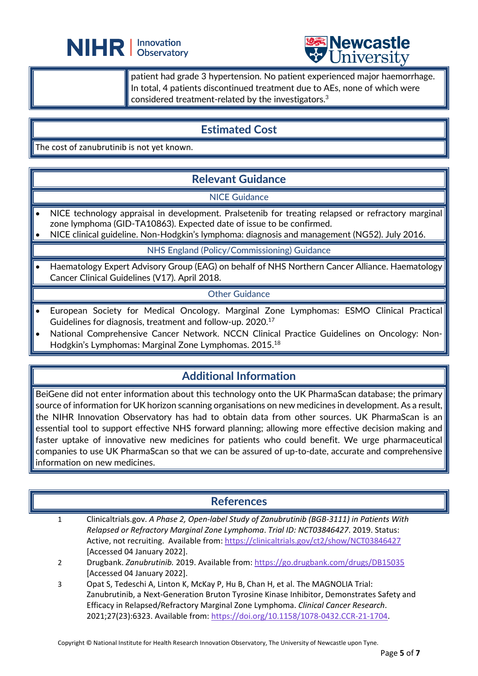



patient had grade 3 hypertension. No patient experienced major haemorrhage. In total, 4 patients discontinued treatment due to AEs, none of which were considered treatment-related by the investigators. 3

## **Estimated Cost**

L

The cost of zanubrutinib is not yet known.

## **Relevant Guidance**

#### NICE Guidance

- NICE technology appraisal in development. Pralsetenib for treating relapsed or refractory marginal zone lymphoma (GID-TA10863). Expected date of issue to be confirmed.
- NICE clinical guideline. Non-Hodgkin's lymphoma: diagnosis and management (NG52). July 2016.

#### NHS England (Policy/Commissioning) Guidance

• Haematology Expert Advisory Group (EAG) on behalf of NHS Northern Cancer Alliance. Haematology Cancer Clinical Guidelines (V17). April 2018.

#### Other Guidance

- European Society for Medical Oncology. Marginal Zone Lymphomas: ESMO Clinical Practical Guidelines for diagnosis, treatment and follow-up. 2020.17
- National Comprehensive Cancer Network. NCCN Clinical Practice Guidelines on Oncology: Non-Hodgkin's Lymphomas: Marginal Zone Lymphomas. 2015. 18

## **Additional Information**

BeiGene did not enter information about this technology onto the UK PharmaScan database; the primary source of information for UK horizon scanning organisations on new medicines in development. As a result, the NIHR Innovation Observatory has had to obtain data from other sources. UK PharmaScan is an essential tool to support effective NHS forward planning; allowing more effective decision making and faster uptake of innovative new medicines for patients who could benefit. We urge pharmaceutical companies to use UK PharmaScan so that we can be assured of up-to-date, accurate and comprehensive information on new medicines.

### **References**

- 1 Clinicaltrials.gov. *A Phase 2, Open-label Study of Zanubrutinib (BGB-3111) in Patients With Relapsed or Refractory Marginal Zone Lymphoma*. *Trial ID: NCT03846427*. 2019. Status: Active, not recruiting. Available from:<https://clinicaltrials.gov/ct2/show/NCT03846427> [Accessed 04 January 2022].
- 2 Drugbank. *Zanubrutinib.* 2019. Available from:<https://go.drugbank.com/drugs/DB15035> [Accessed 04 January 2022].
- 3 Opat S, Tedeschi A, Linton K, McKay P, Hu B, Chan H, et al. The MAGNOLIA Trial: Zanubrutinib, a Next-Generation Bruton Tyrosine Kinase Inhibitor, Demonstrates Safety and Efficacy in Relapsed/Refractory Marginal Zone Lymphoma. *Clinical Cancer Research*. 2021;27(23):6323. Available from: [https://doi.org/10.1158/1078-0432.CCR-21-1704.](https://doi.org/10.1158/1078-0432.CCR-21-1704)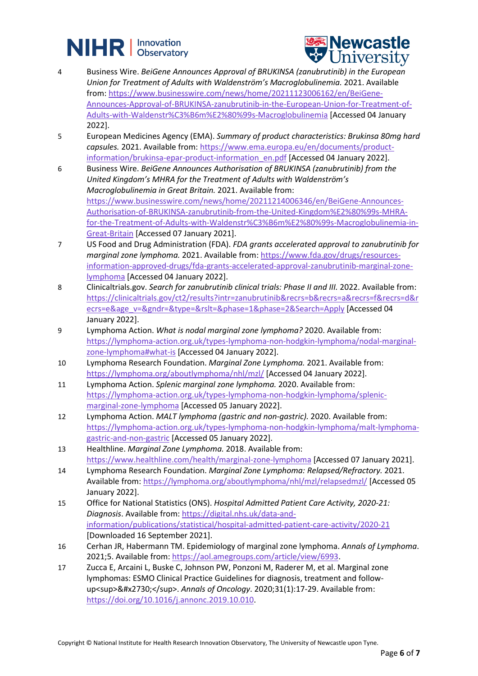



- 4 Business Wire. *BeiGene Announces Approval of BRUKINSA (zanubrutinib) in the European Union for Treatment of Adults with Waldenström's Macroglobulinemia.* 2021. Available from: [https://www.businesswire.com/news/home/20211123006162/en/BeiGene-](https://www.businesswire.com/news/home/20211123006162/en/BeiGene-Announces-Approval-of-BRUKINSA-zanubrutinib-in-the-European-Union-for-Treatment-of-Adults-with-Waldenstr%C3%B6m%E2%80%99s-Macroglobulinemia)[Announces-Approval-of-BRUKINSA-zanubrutinib-in-the-European-Union-for-Treatment-of-](https://www.businesswire.com/news/home/20211123006162/en/BeiGene-Announces-Approval-of-BRUKINSA-zanubrutinib-in-the-European-Union-for-Treatment-of-Adults-with-Waldenstr%C3%B6m%E2%80%99s-Macroglobulinemia)[Adults-with-Waldenstr%C3%B6m%E2%80%99s-Macroglobulinemia](https://www.businesswire.com/news/home/20211123006162/en/BeiGene-Announces-Approval-of-BRUKINSA-zanubrutinib-in-the-European-Union-for-Treatment-of-Adults-with-Waldenstr%C3%B6m%E2%80%99s-Macroglobulinemia) [Accessed 04 January 2022].
- 5 European Medicines Agency (EMA). *Summary of product characteristics: Brukinsa 80mg hard capsules.* 2021. Available from: [https://www.ema.europa.eu/en/documents/product](https://www.ema.europa.eu/en/documents/product-information/brukinsa-epar-product-information_en.pdf)[information/brukinsa-epar-product-information\\_en.pdf](https://www.ema.europa.eu/en/documents/product-information/brukinsa-epar-product-information_en.pdf) [Accessed 04 January 2022].
- 6 Business Wire. *BeiGene Announces Authorisation of BRUKINSA (zanubrutinib) from the United Kingdom's MHRA for the Treatment of Adults with Waldenström's Macroglobulinemia in Great Britain.* 2021. Available from: [https://www.businesswire.com/news/home/20211214006346/en/BeiGene-Announces-](https://www.businesswire.com/news/home/20211214006346/en/BeiGene-Announces-Authorisation-of-BRUKINSA-zanubrutinib-from-the-United-Kingdom%E2%80%99s-MHRA-for-the-Treatment-of-Adults-with-Waldenstr%C3%B6m%E2%80%99s-Macroglobulinemia-in-Great-Britain)[Authorisation-of-BRUKINSA-zanubrutinib-from-the-United-Kingdom%E2%80%99s-MHRA](https://www.businesswire.com/news/home/20211214006346/en/BeiGene-Announces-Authorisation-of-BRUKINSA-zanubrutinib-from-the-United-Kingdom%E2%80%99s-MHRA-for-the-Treatment-of-Adults-with-Waldenstr%C3%B6m%E2%80%99s-Macroglobulinemia-in-Great-Britain)[for-the-Treatment-of-Adults-with-Waldenstr%C3%B6m%E2%80%99s-Macroglobulinemia-in-](https://www.businesswire.com/news/home/20211214006346/en/BeiGene-Announces-Authorisation-of-BRUKINSA-zanubrutinib-from-the-United-Kingdom%E2%80%99s-MHRA-for-the-Treatment-of-Adults-with-Waldenstr%C3%B6m%E2%80%99s-Macroglobulinemia-in-Great-Britain)[Great-Britain](https://www.businesswire.com/news/home/20211214006346/en/BeiGene-Announces-Authorisation-of-BRUKINSA-zanubrutinib-from-the-United-Kingdom%E2%80%99s-MHRA-for-the-Treatment-of-Adults-with-Waldenstr%C3%B6m%E2%80%99s-Macroglobulinemia-in-Great-Britain) [Accessed 07 January 2021].
- 7 US Food and Drug Administration (FDA). *FDA grants accelerated approval to zanubrutinib for marginal zone lymphoma.* 2021. Available from[: https://www.fda.gov/drugs/resources](https://www.fda.gov/drugs/resources-information-approved-drugs/fda-grants-accelerated-approval-zanubrutinib-marginal-zone-lymphoma)[information-approved-drugs/fda-grants-accelerated-approval-zanubrutinib-marginal-zone](https://www.fda.gov/drugs/resources-information-approved-drugs/fda-grants-accelerated-approval-zanubrutinib-marginal-zone-lymphoma)[lymphoma](https://www.fda.gov/drugs/resources-information-approved-drugs/fda-grants-accelerated-approval-zanubrutinib-marginal-zone-lymphoma) [Accessed 04 January 2022].
- 8 Clinicaltrials.gov. *Search for zanubrutinib clinical trials: Phase II and III.* 2022. Available from: [https://clinicaltrials.gov/ct2/results?intr=zanubrutinib&recrs=b&recrs=a&recrs=f&recrs=d&r](https://clinicaltrials.gov/ct2/results?intr=zanubrutinib&recrs=b&recrs=a&recrs=f&recrs=d&recrs=e&age_v=&gndr=&type=&rslt=&phase=1&phase=2&Search=Apply) [ecrs=e&age\\_v=&gndr=&type=&rslt=&phase=1&phase=2&Search=Apply](https://clinicaltrials.gov/ct2/results?intr=zanubrutinib&recrs=b&recrs=a&recrs=f&recrs=d&recrs=e&age_v=&gndr=&type=&rslt=&phase=1&phase=2&Search=Apply) [Accessed 04 January 2022].
- 9 Lymphoma Action. *What is nodal marginal zone lymphoma?* 2020. Available from: [https://lymphoma-action.org.uk/types-lymphoma-non-hodgkin-lymphoma/nodal-marginal](https://lymphoma-action.org.uk/types-lymphoma-non-hodgkin-lymphoma/nodal-marginal-zone-lymphoma#what-is)[zone-lymphoma#what-is](https://lymphoma-action.org.uk/types-lymphoma-non-hodgkin-lymphoma/nodal-marginal-zone-lymphoma#what-is) [Accessed 04 January 2022].
- 10 Lymphoma Research Foundation. *Marginal Zone Lymphoma.* 2021. Available from: <https://lymphoma.org/aboutlymphoma/nhl/mzl/> [Accessed 04 January 2022].
- 11 Lymphoma Action. *Splenic marginal zone lymphoma.* 2020. Available from: [https://lymphoma-action.org.uk/types-lymphoma-non-hodgkin-lymphoma/splenic](https://lymphoma-action.org.uk/types-lymphoma-non-hodgkin-lymphoma/splenic-marginal-zone-lymphoma)[marginal-zone-lymphoma](https://lymphoma-action.org.uk/types-lymphoma-non-hodgkin-lymphoma/splenic-marginal-zone-lymphoma) [Accessed 05 January 2022].
- 12 Lymphoma Action. *MALT lymphoma (gastric and non-gastric).* 2020. Available from: [https://lymphoma-action.org.uk/types-lymphoma-non-hodgkin-lymphoma/malt-lymphoma](https://lymphoma-action.org.uk/types-lymphoma-non-hodgkin-lymphoma/malt-lymphoma-gastric-and-non-gastric)[gastric-and-non-gastric](https://lymphoma-action.org.uk/types-lymphoma-non-hodgkin-lymphoma/malt-lymphoma-gastric-and-non-gastric) [Accessed 05 January 2022].
- 13 Healthline. *Marginal Zone Lymphoma.* 2018. Available from: <https://www.healthline.com/health/marginal-zone-lymphoma> [Accessed 07 January 2021].
- 14 Lymphoma Research Foundation. *Marginal Zone Lymphoma: Relapsed/Refractory.* 2021. Available from:<https://lymphoma.org/aboutlymphoma/nhl/mzl/relapsedmzl/> [Accessed 05 January 2022].
- 15 Office for National Statistics (ONS). *Hospital Admitted Patient Care Activity, 2020-21: Diagnosis*. Available from[: https://digital.nhs.uk/data-and](https://digital.nhs.uk/data-and-information/publications/statistical/hospital-admitted-patient-care-activity/2020-21)[information/publications/statistical/hospital-admitted-patient-care-activity/2020-21](https://digital.nhs.uk/data-and-information/publications/statistical/hospital-admitted-patient-care-activity/2020-21) [Downloaded 16 September 2021].
- 16 Cerhan JR, Habermann TM. Epidemiology of marginal zone lymphoma. *Annals of Lymphoma*. 2021;5. Available from[: https://aol.amegroups.com/article/view/6993.](https://aol.amegroups.com/article/view/6993)
- 17 Zucca E, Arcaini L, Buske C, Johnson PW, Ponzoni M, Raderer M, et al. Marginal zone lymphomas: ESMO Clinical Practice Guidelines for diagnosis, treatment and followup<sup>&#x2730;</sup>. Annals of Oncology. 2020;31(1):17-29. Available from: [https://doi.org/10.1016/j.annonc.2019.10.010.](https://doi.org/10.1016/j.annonc.2019.10.010)